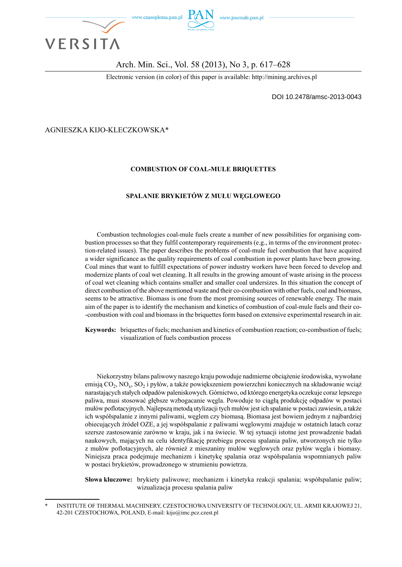

#### Arch. Min. Sci., Vol. 58 (2013), No 3, p. 617–628

Electronic version (in color) of this paper is available: http://mining.archives.pl

DOI 10.2478/amsc-2013-0043

AGNIESZKA KIJO-KLECZKOWSKA\*

#### **COMBUSTION OF COAL-MULE BRIQUETTES**

#### **SPALANIE BRYKIETÓW Z MUŁU WĘGLOWEGO**

Combustion technologies coal-mule fuels create a number of new possibilities for organising combustion processes so that they fulfil contemporary requirements (e.g., in terms of the environment protection-related issues). The paper describes the problems of coal-mule fuel combustion that have acquired a wider significance as the quality requirements of coal combustion in power plants have been growing. Coal mines that want to fulfill expectations of power industry workers have been forced to develop and modernize plants of coal wet cleaning. It all results in the growing amount of waste arising in the process of coal wet cleaning which contains smaller and smaller coal undersizes. In this situation the concept of direct combustion of the above mentioned waste and their co-combustion with other fuels, coal and biomass, seems to be attractive. Biomass is one from the most promising sources of renewable energy. The main aim of the paper is to identify the mechanism and kinetics of combustion of coal-mule fuels and their co- -combustion with coal and biomass in the briquettes form based on extensive experimental research in air.

**Keywords:** briquettes of fuels; mechanism and kinetics of combustion reaction; co-combustion of fuels; visualization of fuels combustion process

Niekorzystny bilans paliwowy naszego kraju powoduje nadmierne obciążenie środowiska, wywołane emisją CO2, NOx, SO2 i pyłów, a także powiększeniem powierzchni koniecznych na składowanie wciąż narastających stałych odpadów paleniskowych. Górnictwo, od którego energetyka oczekuje coraz lepszego paliwa, musi stosować głębsze wzbogacanie węgla. Powoduje to ciągłą produkcję odpadów w postaci mułów poflotacyjnych. Najlepszą metodą utylizacji tych mułów jest ich spalanie w postaci zawiesin, a także ich współspalanie z innymi paliwami, węglem czy biomasą. Biomasa jest bowiem jednym z najbardziej obiecujących źródeł OZE, a jej współspalanie z paliwami węglowymi znajduje w ostatnich latach coraz szersze zastosowanie zarówno w kraju, jak i na świecie. W tej sytuacji istotne jest prowadzenie badań naukowych, mających na celu identyfikację przebiegu procesu spalania paliw, utworzonych nie tylko z mułów poflotacyjnych, ale również z mieszaniny mułów węglowych oraz pyłów węgla i biomasy. Niniejsza praca podejmuje mechanizm i kinetykę spalania oraz współspalania wspomnianych paliw w postaci brykietów, prowadzonego w strumieniu powietrza.

**Słowa kluczowe:** brykiety paliwowe; mechanizm i kinetyka reakcji spalania; współspalanie paliw; wizualizacja procesu spalania paliw

INSTITUTE OF THERMAL MACHINERY, CZESTOCHOWA UNIVERSITY OF TECHNOLOGY, UL. ARMII KRAJOWEJ 21, 42-201 CZESTOCHOWA, POLAND, E-mail: kijo@imc.pcz.czest.pl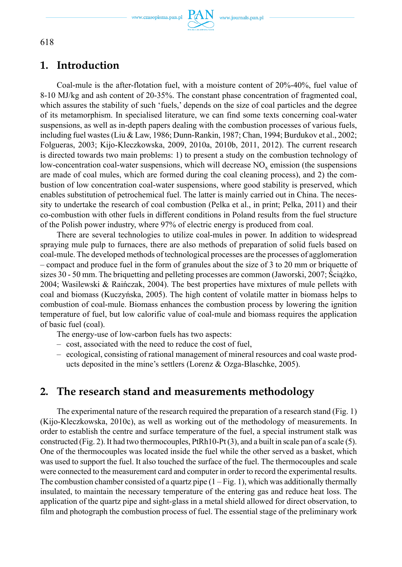

## **1. Introduction**

Coal-mule is the after-flotation fuel, with a moisture content of 20%-40%, fuel value of 8-10 MJ/kg and ash content of 20-35%. The constant phase concentration of fragmented coal, which assures the stability of such 'fuels,' depends on the size of coal particles and the degree of its metamorphism. In specialised literature, we can find some texts concerning coal-water suspensions, as well as in-depth papers dealing with the combustion processes of various fuels, including fuel wastes (Liu & Law, 1986; Dunn-Rankin, 1987; Chan, 1994; Burdukov et al., 2002; Folgueras, 2003; Kijo-Kleczkowska, 2009, 2010a, 2010b, 2011, 2012). The current research is directed towards two main problems: 1) to present a study on the combustion technology of low-concentration coal-water suspensions, which will decrease  $NO<sub>x</sub>$  emission (the suspensions are made of coal mules, which are formed during the coal cleaning process), and 2) the combustion of low concentration coal-water suspensions, where good stability is preserved, which enables substitution of petrochemical fuel. The latter is mainly carried out in China. The necessity to undertake the research of coal combustion (Pelka et al., in print; Pelka, 2011) and their co-combustion with other fuels in different conditions in Poland results from the fuel structure of the Polish power industry, where 97% of electric energy is produced from coal.

There are several technologies to utilize coal-mules in power. In addition to widespread spraying mule pulp to furnaces, there are also methods of preparation of solid fuels based on coal-mule. The developed methods of technological processes are the processes of agglomeration – compact and produce fuel in the form of granules about the size of 3 to 20 mm or briquette of sizes 30 - 50 mm. The briquetting and pelleting processes are common (Jaworski, 2007; Ściążko, 2004; Wasilewski & Raińczak, 2004). The best properties have mixtures of mule pellets with coal and biomass (Kuczyńska, 2005). The high content of volatile matter in biomass helps to combustion of coal-mule. Biomass enhances the combustion process by lowering the ignition temperature of fuel, but low calorific value of coal-mule and biomass requires the application of basic fuel (coal).

The energy-use of low-carbon fuels has two aspects:

- cost, associated with the need to reduce the cost of fuel,
- ecological, consisting of rational management of mineral resources and coal waste products deposited in the mine's settlers (Lorenz & Ozga-Blaschke, 2005).

### **2. The research stand and measurements methodology**

The experimental nature of the research required the preparation of a research stand (Fig. 1) (Kijo-Kleczkowska, 2010c), as well as working out of the methodology of measurements. In order to establish the centre and surface temperature of the fuel, a special instrument stalk was constructed (Fig. 2). It had two thermocouples,  $PtRh10-Pt(3)$ , and a built in scale pan of a scale (5). One of the thermocouples was located inside the fuel while the other served as a basket, which was used to support the fuel. It also touched the surface of the fuel. The thermocouples and scale were connected to the measurement card and computer in order to record the experimental results. The combustion chamber consisted of a quartz pipe  $(1 - Fig. 1)$ , which was additionally thermally insulated, to maintain the necessary temperature of the entering gas and reduce heat loss. The application of the quartz pipe and sight-glass in a metal shield allowed for direct observation, to film and photograph the combustion process of fuel. The essential stage of the preliminary work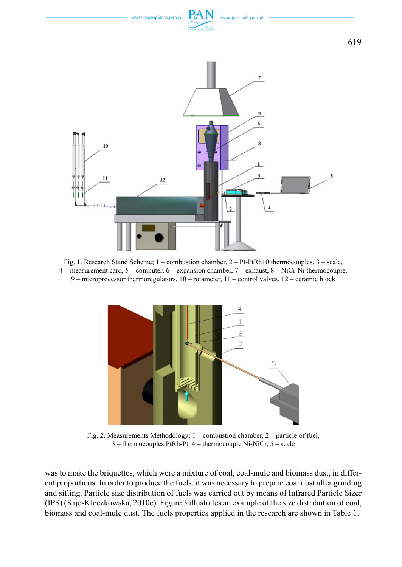

Fig. 1. Research Stand Scheme; 1 – combustion chamber, 2 – Pt-PtRh10 thermocouples, 3 – scale, 4 – measurement card, 5 – computer, 6 – expansion chamber, 7 – exhaust, 8 – NiCr-Ni thermocouple, 9 – microprocessor thermoregulators, 10 – rotameter, 11 – control valves, 12 – ceramic block



Fig. 2. Measurements Methodology; 1 – combustion chamber, 2 – particle of fuel, 3 – thermocouples PtRh-Pt, 4 – thermocouple Ni-NiCr, 5 – scale

was to make the briquettes, which were a mixture of coal, coal-mule and biomass dust, in different proportions. In order to produce the fuels, it was necessary to prepare coal dust after grinding and sifting. Particle size distribution of fuels was carried out by means of Infrared Particle Sizer (IPS) (Kijo-Kleczkowska, 2010c). Figure 3 illustrates an example of the size distribution of coal, biomass and coal-mule dust. The fuels properties applied in the research are shown in Table 1.

619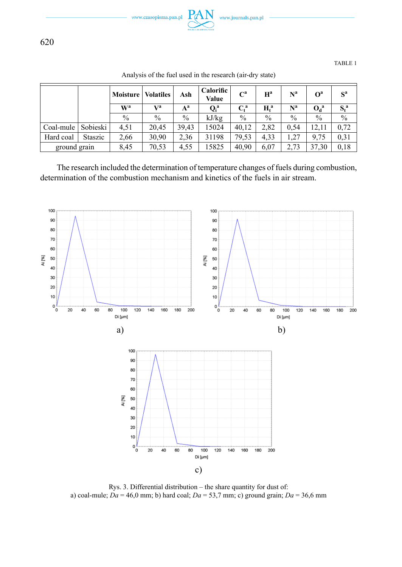

TABLE 1

|              |          | Moisture       | <b>Volatiles</b> | Ash   | <b>Calorific</b><br>Value | $\mathbf{C}^{\mathbf{a}}$       | $H^a$         | N <sup>a</sup> | O <sup>a</sup> | $S^a$         |
|--------------|----------|----------------|------------------|-------|---------------------------|---------------------------------|---------------|----------------|----------------|---------------|
|              |          | W <sup>a</sup> | Va               | $A^a$ | $Q_i^a$                   | $\mathbf{C}^{\,\mathbf{a}}_{t}$ | $H^a$         | $\bf N^a$      | $O_d^a$        | $S_t^a$       |
|              |          | $\%$           | $\frac{0}{0}$    | $\%$  | kJ/kg                     | $\%$                            | $\frac{0}{0}$ | $\frac{0}{0}$  | $\frac{0}{0}$  | $\frac{0}{0}$ |
| Coal-mule    | Sobieski | 4.51           | 20.45            | 39.43 | 15024                     | 40.12                           | 2.82          | 0.54           | 12.11          | 0.72          |
| Hard coal    | Staszic  | 2,66           | 30,90            | 2,36  | 31198                     | 79,53                           | 4.33          | 1,27           | 9.75           | 0.31          |
| ground grain |          | 8.45           | 70,53            | 4,55  | 15825                     | 40.90                           | 6.07          | 2.73           | 37,30          | 0.18          |

Analysis of the fuel used in the research (air-dry state)

The research included the determination of temperature changes of fuels during combustion, determination of the combustion mechanism and kinetics of the fuels in air stream.



Rys. 3. Differential distribution – the share quantity for dust of: a) coal-mule;  $Da = 46.0$  mm; b) hard coal;  $Da = 53.7$  mm; c) ground grain;  $Da = 36.6$  mm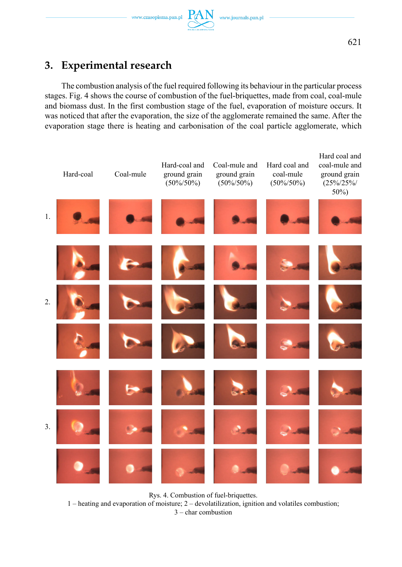# **3. Experimental research**

The combustion analysis of the fuel required following its behaviour in the particular process stages. Fig. 4 shows the course of combustion of the fuel-briquettes, made from coal, coal-mule and biomass dust. In the first combustion stage of the fuel, evaporation of moisture occurs. It was noticed that after the evaporation, the size of the agglomerate remained the same. After the evaporation stage there is heating and carbonisation of the coal particle agglomerate, which



Rys. 4. Combustion of fuel-briquettes.

1 – heating and evaporation of moisture; 2 – devolatilization, ignition and volatiles combustion;

3 – char combustion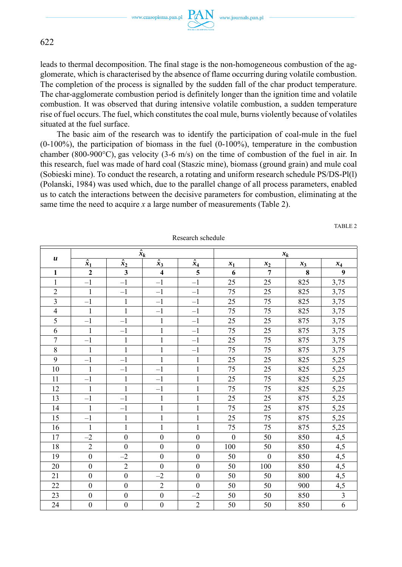www.czasopisma.pan.pl  $PA$ 

N www.journals.pan.pl



622

leads to thermal decomposition. The final stage is the non-homogeneous combustion of the agglomerate, which is characterised by the absence of flame occurring during volatile combustion. The completion of the process is signalled by the sudden fall of the char product temperature. The char-agglomerate combustion period is definitely longer than the ignition time and volatile combustion. It was observed that during intensive volatile combustion, a sudden temperature rise of fuel occurs. The fuel, which constitutes the coal mule, burns violently because of volatiles situated at the fuel surface.

The basic aim of the research was to identify the participation of coal-mule in the fuel (0-100%), the participation of biomass in the fuel (0-100%), temperature in the combustion chamber (800-900 $^{\circ}$ C), gas velocity (3-6 m/s) on the time of combustion of the fuel in air. In this research, fuel was made of hard coal (Staszic mine), biomass (ground grain) and mule coal (Sobieski mine). To conduct the research, a rotating and uniform research schedule PS/DS-Pl(l) (Polanski, 1984) was used which, due to the parallel change of all process parameters, enabled us to catch the interactions between the decisive parameters for combustion, eliminating at the same time the need to acquire  $x$  a large number of measurements (Table 2).

|                  |                  |                  | $\hat{x}_k$             |                         | $x_k$          |                |       |                |
|------------------|------------------|------------------|-------------------------|-------------------------|----------------|----------------|-------|----------------|
| $\boldsymbol{u}$ | $\hat{x}_1$      | $\hat{x}_2$      | $\hat{x}_3$             | $\hat{x}_4$             | $x_1$          | $x_2$          | $x_3$ | $x_4$          |
| $\mathbf{1}$     | $\overline{2}$   | $\mathbf{3}$     | $\overline{\mathbf{4}}$ | $\overline{\mathbf{5}}$ | 6              | $\overline{7}$ | 8     | 9              |
| $\mathbf{1}$     | $-1$             | $-1$             | $-1$                    | $-1$                    | 25             | 25             | 825   | 3,75           |
| $\overline{2}$   | $\mathbf{1}$     | $-1$             | $-1$                    | $-1$                    | 75             | 25             | 825   | 3,75           |
| 3                | $-1$             | $\mathbf{1}$     | $-1$                    | $-1$                    | 25             | 75             | 825   | 3,75           |
| $\overline{4}$   | $\mathbf{1}$     | $\mathbf{1}$     | $-1$                    | $-1$                    | 75             | 75             | 825   | 3,75           |
| 5                | $-1$             | $-1$             | $\mathbf{1}$            | $-1$                    | 25             | 25             | 875   | 3,75           |
| 6                | $\mathbf{1}$     | $-1$             | $\,1$                   | $-1$                    | 75             | 25             | 875   | 3,75           |
| 7                | $-1$             | $\mathbf{1}$     | $\mathbf{1}$            | $-1$                    | 25             | 75             | 875   | 3,75           |
| 8                | $\mathbf{1}$     | $\mathbf{1}$     | $\mathbf{1}$            | $-1$                    | 75             | 75             | 875   | 3,75           |
| 9                | $-1$             | $-1$             | $\mathbf{1}$            | $\mathbf{1}$            | 25             | 25             | 825   | 5,25           |
| 10               | $\mathbf{1}$     | $-1$             | $-1$                    | $\mathbf{1}$            | 75             | 25             | 825   | 5,25           |
| 11               | $-1$             | $\mathbf{1}$     | $-1$                    | $\mathbf{1}$            | 25             | 75             | 825   | 5,25           |
| 12               | $\mathbf{1}$     | $\mathbf{1}$     | $-1$                    | $\mathbf{1}$            | 75             | 75             | 825   | 5,25           |
| 13               | $-1$             | $-1$             | $\mathbf{1}$            | $\,1$                   | 25             | 25             | 875   | 5,25           |
| 14               | $\mathbf{1}$     | $-1$             | $\,1\,$                 | $\mathbf{1}$            | 75             | 25             | 875   | 5,25           |
| 15               | $-1$             | $\mathbf{1}$     | $\mathbf{1}$            | $\mathbf{1}$            | 25             | 75             | 875   | 5,25           |
| 16               | $\mathbf{1}$     | $\mathbf{1}$     | $\mathbf{1}$            | $\mathbf{1}$            | 75             | 75             | 875   | 5,25           |
| 17               | $-2$             | $\overline{0}$   | $\boldsymbol{0}$        | $\boldsymbol{0}$        | $\overline{0}$ | 50             | 850   | 4,5            |
| 18               | $\overline{2}$   | $\boldsymbol{0}$ | $\boldsymbol{0}$        | $\boldsymbol{0}$        | 100            | 50             | 850   | 4,5            |
| 19               | $\boldsymbol{0}$ | $-2$             | $\boldsymbol{0}$        | $\mathbf{0}$            | 50             | $\mathbf{0}$   | 850   | 4,5            |
| 20               | $\mathbf{0}$     | $\overline{2}$   | $\boldsymbol{0}$        | $\boldsymbol{0}$        | 50             | 100            | 850   | 4,5            |
| 21               | $\mathbf{0}$     | $\mathbf{0}$     | $-2$                    | $\mathbf{0}$            | 50             | 50             | 800   | 4,5            |
| 22               | $\mathbf{0}$     | $\mathbf{0}$     | $\overline{2}$          | $\theta$                | 50             | 50             | 900   | 4,5            |
| 23               | $\boldsymbol{0}$ | $\boldsymbol{0}$ | $\boldsymbol{0}$        | $-2$                    | 50             | 50             | 850   | $\overline{3}$ |
| 24               | $\boldsymbol{0}$ | $\boldsymbol{0}$ | $\boldsymbol{0}$        | $\overline{2}$          | 50             | 50             | 850   | 6              |

Research schedule

TABLE 2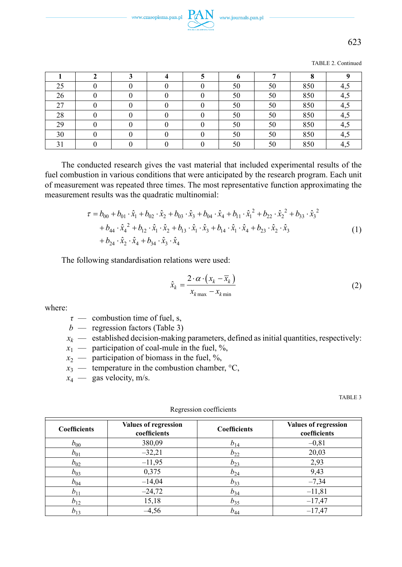TABLE 2. Continued

| 25 |  |  | 50 | 50 | 850 | 4,5 |
|----|--|--|----|----|-----|-----|
| 26 |  |  | 50 | 50 | 850 | 4,5 |
| 27 |  |  | 50 | 50 | 850 | 4,5 |
| 28 |  |  | 50 | 50 | 850 | 4,5 |
| 29 |  |  | 50 | 50 | 850 | 4,5 |
| 30 |  |  | 50 | 50 | 850 | 4,5 |
|    |  |  | 50 | 50 | 850 | 4,5 |

The conducted research gives the vast material that included experimental results of the fuel combustion in various conditions that were anticipated by the research program. Each unit of measurement was repeated three times. The most representative function approximating the measurement results was the quadratic multinomial:

$$
\tau = b_{00} + b_{01} \cdot \hat{x}_1 + b_{02} \cdot \hat{x}_2 + b_{03} \cdot \hat{x}_3 + b_{04} \cdot \hat{x}_4 + b_{11} \cdot \hat{x}_1^2 + b_{22} \cdot \hat{x}_2^2 + b_{33} \cdot \hat{x}_3^2 \n+ b_{44} \cdot \hat{x}_4^2 + b_{12} \cdot \hat{x}_1 \cdot \hat{x}_2 + b_{13} \cdot \hat{x}_1 \cdot \hat{x}_3 + b_{14} \cdot \hat{x}_1 \cdot \hat{x}_4 + b_{23} \cdot \hat{x}_2 \cdot \hat{x}_3 \n+ b_{24} \cdot \hat{x}_2 \cdot \hat{x}_4 + b_{34} \cdot \hat{x}_3 \cdot \hat{x}_4
$$
\n(1)

The following standardisation relations were used:

$$
\hat{x}_k = \frac{2 \cdot \alpha \cdot (x_k - \overline{x}_k)}{x_{k\max} - x_{k\min}}\tag{2}
$$

where:

*τ* — combustion time of fuel, s,

- $b$  regression factors (Table 3)
- $x_k$  established decision-making parameters, defined as initial quantities, respectively:
- $x_1$  participation of coal-mule in the fuel, %,
- $x_2$  participation of biomass in the fuel, %,
- $x_3 \longrightarrow$  temperature in the combustion chamber,  ${}^{\circ}C$ ,
- $x_4$  gas velocity, m/s.

TABLE 3

| <b>Coefficients</b> | <b>Values of regression</b><br>coefficients | <b>Coefficients</b> | <b>Values of regression</b><br>coefficients |  |
|---------------------|---------------------------------------------|---------------------|---------------------------------------------|--|
| $b_{00}$            | 380,09                                      | $b_{14}$            | $-0.81$                                     |  |
| $b_{01}$            | $-32,21$                                    | $b_{22}$            | 20,03                                       |  |
| $b_{02}$            | $-11,95$                                    | $b_{23}$            | 2,93                                        |  |
| $b_{03}$            | 0,375                                       | $b_{24}$            | 9,43                                        |  |
| $b_{04}$            | $-14,04$                                    | $b_{33}$            | $-7,34$                                     |  |
| $b_{11}$            | $-24,72$                                    | $b_{34}$            | $-11,81$                                    |  |
| $b_{12}$            | 15,18                                       | $b_{35}$            | $-17,47$                                    |  |
| $b_{13}$            | $-4,56$                                     | $b_{44}$            | $-17,47$                                    |  |

Regression coefficients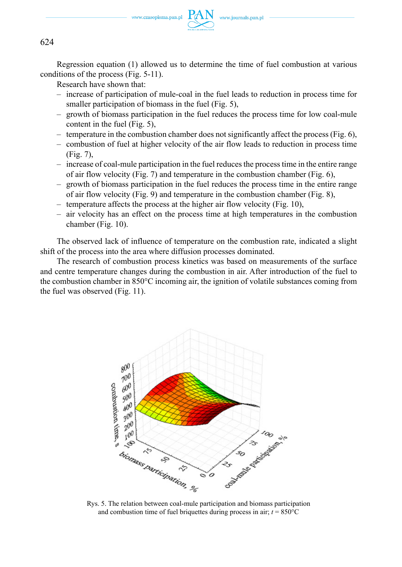

Regression equation (1) allowed us to determine the time of fuel combustion at various conditions of the process (Fig. 5-11).

Research have shown that:

- increase of participation of mule-coal in the fuel leads to reduction in process time for smaller participation of biomass in the fuel (Fig. 5),
- growth of biomass participation in the fuel reduces the process time for low coal-mule content in the fuel (Fig. 5),
- temperature in the combustion chamber does not significantly affect the process (Fig. 6),
- combustion of fuel at higher velocity of the air flow leads to reduction in process time (Fig. 7),
- increase of coal-mule participation in the fuel reduces the process time in the entire range of air flow velocity (Fig. 7) and temperature in the combustion chamber (Fig. 6),
- growth of biomass participation in the fuel reduces the process time in the entire range of air flow velocity (Fig. 9) and temperature in the combustion chamber (Fig. 8),
- temperature affects the process at the higher air flow velocity (Fig. 10),
- air velocity has an effect on the process time at high temperatures in the combustion chamber (Fig. 10).

The observed lack of influence of temperature on the combustion rate, indicated a slight shift of the process into the area where diffusion processes dominated.

The research of combustion process kinetics was based on measurements of the surface and centre temperature changes during the combustion in air. After introduction of the fuel to the combustion chamber in 850°C incoming air, the ignition of volatile substances coming from the fuel was observed (Fig. 11).



Rys. 5. The relation between coal-mule participation and biomass participation and combustion time of fuel briquettes during process in air;  $t = 850^{\circ}$ C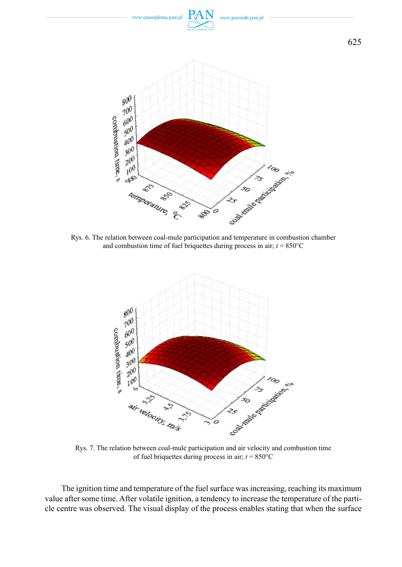

Rys. 6. The relation between coal-mule participation and temperature in combustion chamber and combustion time of fuel briquettes during process in air;  $t = 850^{\circ}$ C



Rys. 7. The relation between coal-mule participation and air velocity and combustion time of fuel briquettes during process in air;  $t = 850^{\circ}$ C

The ignition time and temperature of the fuel surface was increasing, reaching its maximum value after some time. After volatile ignition, a tendency to increase the temperature of the particle centre was observed. The visual display of the process enables stating that when the surface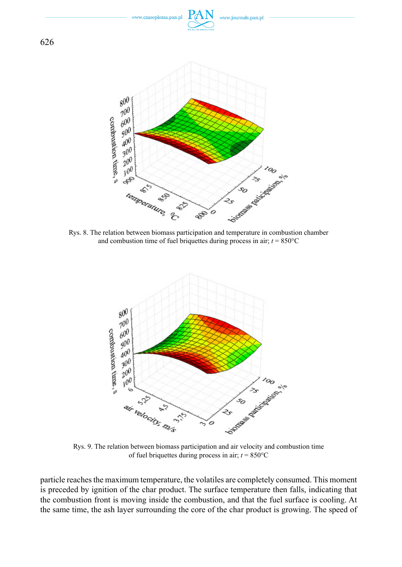

and combustion time of fuel briquettes during process in air;  $t = 850^{\circ}$ C



of fuel briquettes during process in air;  $t = 850^{\circ}$ C

particle reaches the maximum temperature, the volatiles are completely consumed. This moment is preceded by ignition of the char product. The surface temperature then falls, indicating that the combustion front is moving inside the combustion, and that the fuel surface is cooling. At the same time, the ash layer surrounding the core of the char product is growing. The speed of

626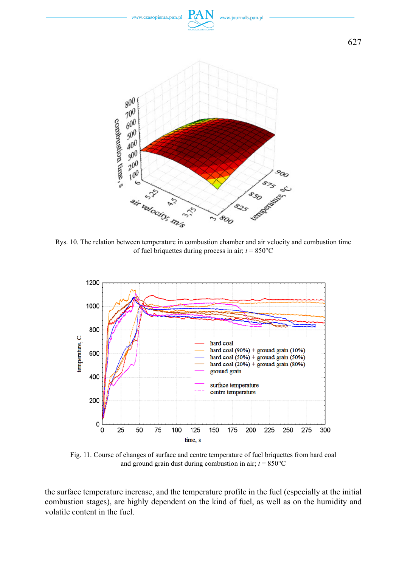

Rys. 10. The relation between temperature in combustion chamber and air velocity and combustion time of fuel briquettes during process in air;  $t = 850^{\circ}$ C



Fig. 11. Course of changes of surface and centre temperature of fuel briquettes from hard coal and ground grain dust during combustion in air;  $t = 850^{\circ}$ C

the surface temperature increase, and the temperature profile in the fuel (especially at the initial combustion stages), are highly dependent on the kind of fuel, as well as on the humidity and volatile content in the fuel.